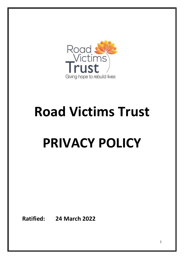

# **Road Victims Trust**

## **PRIVACY POLICY**

**Ratified: 24 March 2022**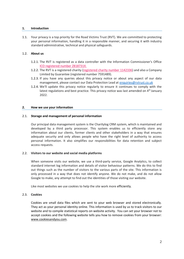## **1. Introduction**

1.1. Your privacy is a top priority for the Road Victims Trust (RVT). We are committed to protecting your personal information, handling it in a responsible manner, and securing it with industry standard administrative, technical and physical safeguards.

## 1.2. **About us**

- 1.2.1. The RVT is registered as a data controller with the Information Commissioner's Office ICO registered number Z818731X.
- 1.2.2. The RVT is a registered charity (registered charity number 1142336) and also a Company Limited by Guarantee (registered number 7591489).
- 1.2.3. If you have any queries about this privacy notice or about any aspect of our data management, please contact our Data Protection Lead at [enquiries@rvtrust.co.uk](mailto:enquiries@rvtrust.co.uk)
- 1.2.4. We'll update this privacy notice regularly to ensure it continues to comply with the latest regulations and best practice. This privacy notice was last amended on  $4<sup>th</sup>$  January 2022.

## **2. How we use your information**

## 2.1. **Storage and management of personal information**

Our principal data management system is the Charitylog CRM system, which is maintained and developed by a third party processor. This system enables us to efficiently store any information about our clients, former clients and other stakeholders in a way that ensures adequate security and only allows people who have the right level of authority to access personal information. It also simplifies our responsibilities for data retention and subject access requests.

## 2.2. **Visitors to our website and social media platforms**

When someone visits our website, we use a third-party service, Google Analytics, to collect standard internet log information and details of visitor behaviour patterns. We do this to find out things such as the number of visitors to the various parts of the site. This information is only processed in a way that does not identify anyone. We do not make, and do not allow Google to make, any attempt to find out the identities of those visiting our website.

Like most websites we use cookies to help the site work more efficiently.

## 2.3. **Cookies**

Cookies are small data files which are sent to your web browser and stored electronically. They act as your personal identity online. This information is used by us to track visitors to our website and to compile statistical reports on website activity. You can set your browser not to accept cookies and the following website tells you how to remove cookies from your browser: [www.cookiesandyou.com.](http://www.cookiesandyou.com/)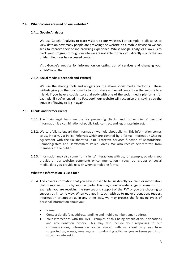## 2.4. **What cookies are used on our websites?**

## 2.4.1. **Google Analytics**

We use Google Analytics to track visitors to our website. For example, it allows us to view data on how many people are browsing the website on a mobile device so we can seek to improve their online browsing experience. Whilst Google Analytics allows us to track your progress through our site we are not able to track you directly – only that an unidentified user has accessed content.

Visit [Google's website](http://www.google.co.uk/policies/privacy) for information on opting out of services and changing your privacy settings.

## 2.4.2. **Social media (Facebook and Twitter)**

We use the sharing tools and widgets for the above social media platforms. These widgets give you the functionality to post, share and email content on the website to a friend. If you have a cookie stored already with one of the social media platforms (for example, if you're logged into Facebook) our website will recognise this, saving you the trouble of having to log in again.

## 2.5. **Clients and former clients**

- 2.5.1. The main legal basis we use for processing clients' and former clients' personal information is a combination of public task, contract and legitimate interest.
- 2.5.2. We carefully safeguard the information we hold about clients. This information comes to us, initially, via Police Referrals which are covered by a formal Information Sharing Agreement with the Collaborated Joint Protective Services function of Bedfordshire, Cambridgeshire and Hertfordshire Police Forces. We also receive self-referrals from members of the public.
- 2.5.3. Information may also come from clients' interactions with us, for example, opinions you provide on our website, comments or communication through our groups on social media, data you provide us with when completing forms.

## **What the information is used for?**

- 2.5.4. This covers information that you have chosen to tell us directly yourself, or information that is supplied to us by another party. This may cover a wide range of scenarios, for example, you are receiving the services and support of the RVT or you are choosing to support us in some way. When you get in touch with us to make a donation, request information or support us in any other way, we may process the following types of personal information about you:
	- Name
	- Contact details (e.g. address, landline and mobile number, email address)
	- Your interactions with the RVT. Examples of this being details of your donations and any donation history. This may also include your responses to our communications; information you've shared with us about why you have supported us; events, meetings and fundraising activities you've taken part in or shown an interest in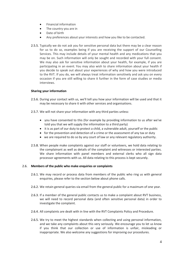- Financial information
- The country you are in
- Date of birth
- Any preferences about your interests and how you like to be contacted.
- 2.5.5. Typically we do not ask you for sensitive personal data but there may be a clear reason for us to do so, examples being if you are receiving the support of our Counselling Services. This may include details of your mental health and any medications that you may be on. Such information will only be sought and recorded with your full consent. We may also ask for sensitive information about your health, for example, if you are participating in an event. You may also wish to share information about your health if you decide to speak out about your experiences of why and how you were introduced to the RVT. If you do, we will always treat information sensitively and ask you on every occasion if you are still willing to share it further in the form of case studies or media interviews.

## **Sharing your information**

- 2.5.6. During your contact with us, we'll tell you how your information will be used and that it may be necessary to share it with other services and organisations.
- 2.5.7. We will not share your information with any third parties unless:
	- you have consented to this (for example by providing information to us after we've told you that we will supply the information to a third party)
	- it is as part of our duty to protect a child, a vulnerable adult, yourself or the public
	- for the prevention and detection of a crime or the assessment of any tax or duty
	- we are required to do so by any court of law or any relevant regulatory authority.
- 2.5.8. When people make complaints against our staff or volunteers, we hold data relating to the complainant as well as details of the complaint and witnesses or interested parties. We share information with panel members and external clerks who all sign data processor agreements with us. All data relating to this process is kept securely.

## 2.6. **Members of the public who make enquiries or complaints**

- 2.6.1. We may record or process data from members of the public who ring us with general enquiries, please refer to the section below about phone calls.
- 2.6.2. We retain general queries via email from the general public for a maximum of one year.
- 2.6.3. If a member of the general public contacts us to make a complaint about RVT business, we will need to record personal data (and often sensitive personal data) in order to investigate the complaint.
- 2.6.4. All complaints are dealt with in line with the RVT Complaints Policy and Procedure.
- 2.6.5. We try to meet the highest standards when collecting and using personal information, and we take any complaints about this very seriously. We encourage you to let us know if you think that our collection or use of information is unfair, misleading or inappropriate. We also welcome any suggestions for improving our procedures.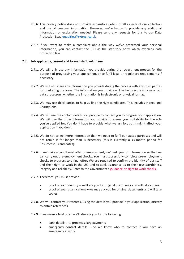- 2.6.6. This privacy notice does not provide exhaustive details of all aspects of our collection and use of personal information. However, we're happy to provide any additional information or explanation needed. Please send any requests for this to our Data Protection Lea[d enquiries@rvtrust.co.uk.](mailto:enquiries@rvtrust.co.uk)
- 2.6.7. If you want to make a complaint about the way we've processed your personal information, you can contact the ICO as the statutory body which oversees data protection law.

## 2.7. **Job applicants, current and former staff, volunteers**

- 2.7.1. We will only use any information you provide during the recruitment process for the purpose of progressing your application, or to fulfil legal or regulatory requirements if necessary.
- 2.7.2. We will not share any information you provide during the process with any third parties for marketing purposes. The information you provide will be held securely by us or our data processors, whether the information is in electronic or physical format.
- 2.7.3. We may use third parties to help us find the right candidates. This includes Indeed and Charity Jobs.
- 2.7.4. We will use the contact details you provide to contact you to progress your application. We will use the other information you provide to assess your suitability for the role you've applied for. You don't have to provide what we ask for, but it might affect your application if you don't.
- 2.7.5. We do not collect more information than we need to fulfil our stated purposes and will not retain it for longer than is necessary (this is currently a six-month period for unsuccessful candidates).
- 2.7.6. If we make a conditional offer of employment, we'll ask you for information so that we can carry out pre-employment checks. You must successfully complete pre-employment checks to progress to a final offer. We are required to confirm the identity of our staff and their right to work in the UK, and to seek assurance as to their trustworthiness, integrity and reliability. Refer to the Government's [guidance](https://www.gov.uk/check-job-applicant-right-to-work) on right to work checks.
- 2.7.7. Therefore, you must provide:
	- proof of your identity we'll ask you for original documents and will take copies
	- proof of your qualifications we may ask you for original documents and will take copies.
- 2.7.8. We will contact your referees, using the details you provide in your application, directly to obtain references.
- 2.7.9. If we make a final offer, we'll also ask you for the following:
	- bank details to process salary payments
	- emergency contact details so we know who to contact if you have an emergency at work.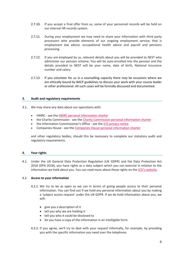- 2.7.10. If you accept a final offer from us, some of your personnel records will be held on our internal HR records system.
- 2.7.11. During your employment we may need to share your information with third party processors who provide elements of our ongoing employment service; that is employment law advice, occupational health advice and payroll and pensions processing.
- 2.7.12. If you are employed by us, relevant details about you will be provided to NEST who administer our pension scheme. You will be auto-enrolled into the pension and the details provided to NEST will be your name, date of birth, National Insurance number and salary.
- 2.7.13. If you volunteer for us in a counselling capacity there may be occasions where we are ethically bound by BACP guidelines to discuss your work with your course leader or other professional. All such cases will be formally discussed and documented.

#### **3. Audit and regulatory requirements**

- 3.1. We may share any data about our operations with:
	- HMRC see the HMRC personal [information](https://www.gov.uk/government/organisations/hm-revenue-customs/about/personal-information-charter) charter
	- the Charity Commission see the Charity [Commission](https://www.gov.uk/government/organisations/charity-commission/about/personal-information-charter) personal information charter
	- the Information Commissioner's Office see the ICO [privacy](https://ico.org.uk/global/privacy-notice/) notice
	- Companies House see the Companies House personal [information](https://www.gov.uk/government/organisations/companies-house/about/personal-information-charter) charter

and other regulatory bodies, should this be necessary to complete our statutory audit and regulatory requirements.

## **4. Your rights**

4.1. Under the UK General Data Protection Regulation (UK GDPR) and the Data Protection Act 2018 (DPA 2018), you have rights as a data subject which you can exercise in relation to the information we hold about you. You can read more about these rights on the ICO's [website.](https://ico.org.uk/for-the-public/is-my-information-being-handled-correctly/)

## 4.2. **Access to your information**

- 4.2.1. We try to be as open as we can in terms of giving people access to their personal information. You can find out if we hold any personal information about you by making a 'subject access request' under the UK GDPR. If we do hold information about you, we will:
	- give you a description of it
	- tell you why we are holding it
	- tell you who it could be disclosed to
	- let you have a copy of the information in an intelligible form.
- 4.2.2. If you agree, we'll try to deal with your request informally, for example, by providing you with the specific information you need over the telephone.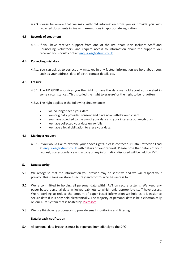4.2.3. Please be aware that we may withhold information from you or provide you with redacted documents in line with exemptions in appropriate legislation.

## 4.3. **Records of treatment**

4.3.1. If you have received support from one of the RVT team (this includes Staff and Counselling Volunteers) and require access to information about the support you received you should contact [enquiries@rvtrust.co.uk.](mailto:enquiries@rvtrust.co.uk)

## 4.4. **Correcting mistakes**

4.4.1. You can ask us to correct any mistakes in any factual information we hold about you, such as your address, date of birth, contact details etc.

## 4.5. **Erasure**

- 4.5.1. The UK GDPR also gives you the right to have the data we hold about you deleted in some circumstances. This is called the 'right to erasure' or the 'right to be forgotten'.
- 4.5.2. The right applies in the following circumstances:
	- we no longer need your data
	- you originally provided consent and have now withdrawn consent
	- you have objected to the use of your data and your interests outweigh ours
	- we have collected your data unlawfully
	- we have a legal obligation to erase your data.

## 4.6. **Making a request**

4.6.1. If you would like to exercise your above rights, please contact our Data Protection Lead at [enquiries@rvtrust.co.uk](mailto:enquiries@rvtrust.co.uk) with details of your request. Please note that details of your request, correspondence and a copy of any information disclosed will be held by RVT.

## **5. Data security**

- 5.1. We recognise that the information you provide may be sensitive and we will respect your privacy. This means we store it securely and control who has access to it.
- 5.2. We're committed to holding all personal data within RVT on secure systems. We keep any paper-based personal data in locked cabinets to which only appropriate staff have access. We're working to reduce the amount of paper-based information we hold as it is easier to secure data if it is only held electronically. The majority of personal data is held electronically on our CRM system that is hosted by [Microsoft.](https://www.microsoft.com/EN-US/privacystatement/DynamicsCRMOnline/Default.aspx)
- 5.3. We use third-party processors to provide email monitoring and filtering.

## **Data breach notification**

5.4. All personal data breaches must be reported immediately to the DPO.